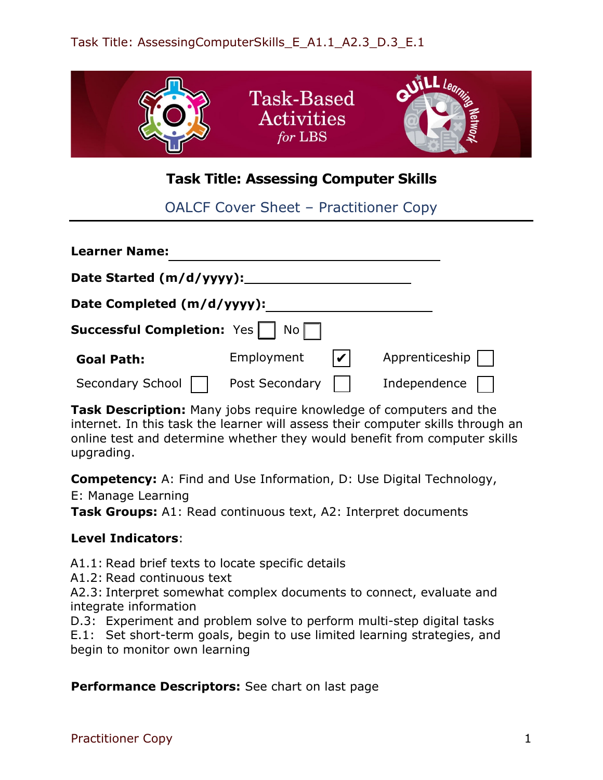

## **Task Title: Assessing Computer Skills**

OALCF Cover Sheet – Practitioner Copy

| <b>Learner Name:</b>              |                                          |                |
|-----------------------------------|------------------------------------------|----------------|
| Date Started (m/d/yyyy):          |                                          |                |
| Date Completed (m/d/yyyy):        |                                          |                |
| <b>Successful Completion:</b> Yes | $\mathsf{No}\,\Box$                      |                |
| <b>Goal Path:</b>                 | Employment<br>$\boldsymbol{\mathcal{U}}$ | Apprenticeship |
| Secondary School                  | Post Secondary                           | Independence   |

**Task Description:** Many jobs require knowledge of computers and the internet. In this task the learner will assess their computer skills through an online test and determine whether they would benefit from computer skills upgrading.

**Competency:** A: Find and Use Information, D: Use Digital Technology,

E: Manage Learning

**Task Groups:** A1: Read continuous text, A2: Interpret documents

## **Level Indicators**:

A1.1: Read brief texts to locate specific details

A1.2: Read continuous text

A2.3: Interpret somewhat complex documents to connect, evaluate and integrate information

D.3: Experiment and problem solve to perform multi-step digital tasks

E.1: Set short-term goals, begin to use limited learning strategies, and begin to monitor own learning

**Performance Descriptors:** See chart on last page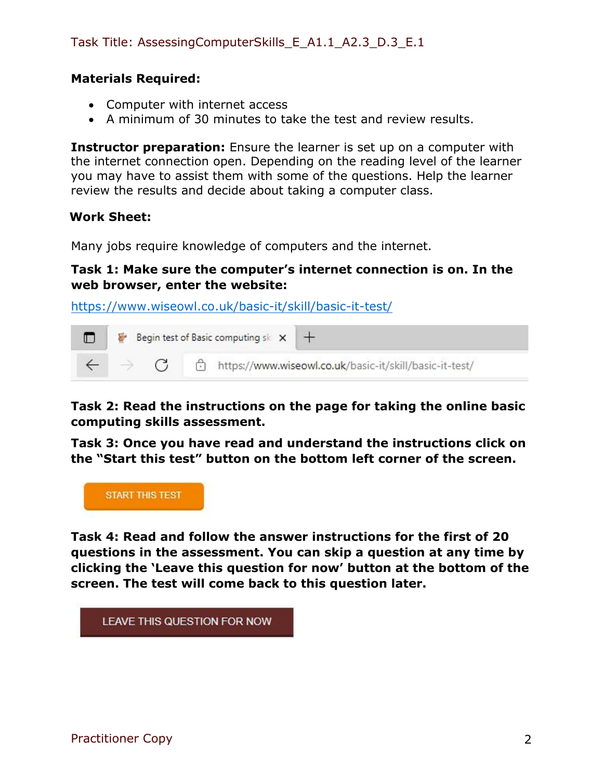## Task Title: AssessingComputerSkills\_E\_A1.1\_A2.3\_D.3\_E.1

### **Materials Required:**

- Computer with internet access
- A minimum of 30 minutes to take the test and review results.

**Instructor preparation:** Ensure the learner is set up on a computer with the internet connection open. Depending on the reading level of the learner you may have to assist them with some of the questions. Help the learner review the results and decide about taking a computer class.

#### **Work Sheet:**

Many jobs require knowledge of computers and the internet.

### **Task 1: Make sure the computer's internet connection is on. In the web browser, enter the website:**

<https://www.wiseowl.co.uk/basic-it/skill/basic-it-test/>



**Task 2: Read the instructions on the page for taking the online basic computing skills assessment.**

**Task 3: Once you have read and understand the instructions click on the "Start this test" button on the bottom left corner of the screen.**



**Task 4: Read and follow the answer instructions for the first of 20 questions in the assessment. You can skip a question at any time by clicking the 'Leave this question for now' button at the bottom of the screen. The test will come back to this question later.**

LEAVE THIS QUESTION FOR NOW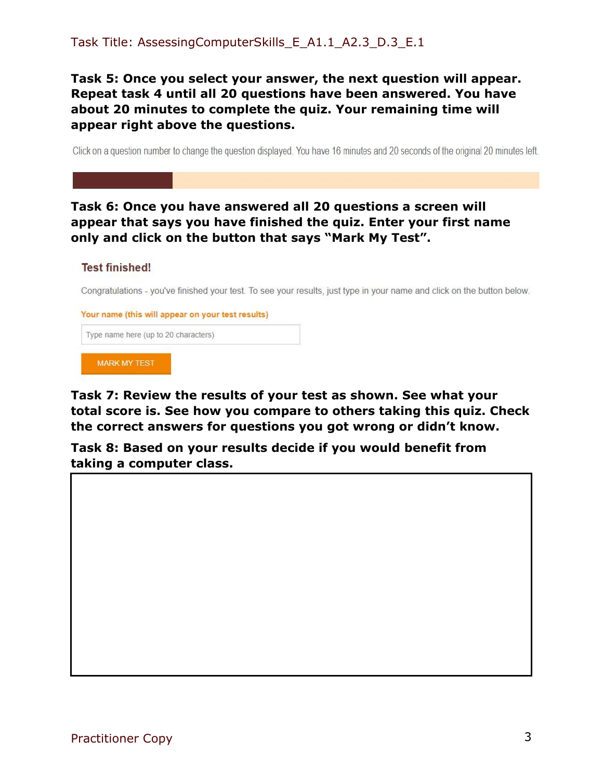**Task 5: Once you select your answer, the next question will appear. Repeat task 4 until all 20 questions have been answered. You have about 20 minutes to complete the quiz. Your remaining time will appear right above the questions.** 

Click on a question number to change the question displayed. You have 16 minutes and 20 seconds of the original 20 minutes left.

## **Task 6: Once you have answered all 20 questions a screen will appear that says you have finished the quiz. Enter your first name only and click on the button that says "Mark My Test".**

#### **Test finished!**

Congratulations - you've finished your test. To see your results, just type in your name and click on the button below.

Your name (this will appear on your test results)

Type name here (up to 20 characters)

**MARK MY TEST** 

**Task 7: Review the results of your test as shown. See what your total score is. See how you compare to others taking this quiz. Check the correct answers for questions you got wrong or didn't know.**

**Task 8: Based on your results decide if you would benefit from taking a computer class.**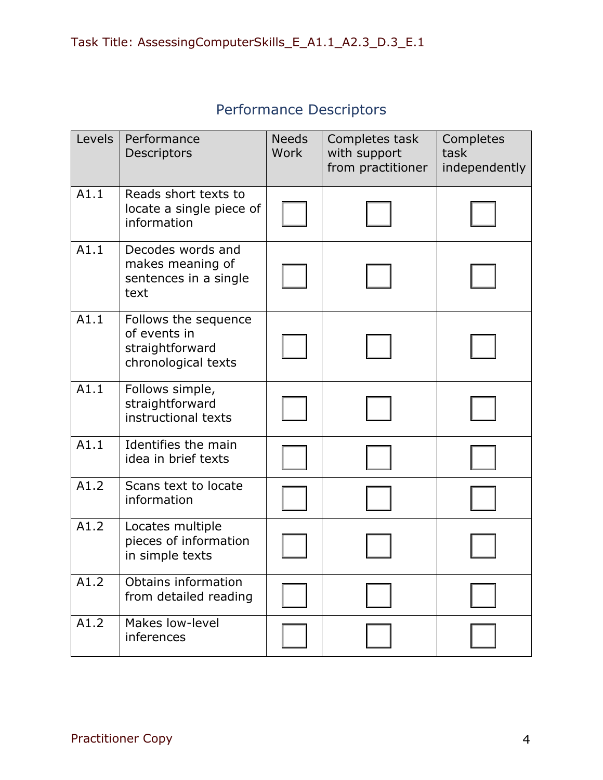| Levels | Performance<br>Descriptors                                                     | <b>Needs</b><br>Work | Completes task<br>with support<br>from practitioner | Completes<br>task<br>independently |
|--------|--------------------------------------------------------------------------------|----------------------|-----------------------------------------------------|------------------------------------|
| A1.1   | Reads short texts to<br>locate a single piece of<br>information                |                      |                                                     |                                    |
| A1.1   | Decodes words and<br>makes meaning of<br>sentences in a single<br>text         |                      |                                                     |                                    |
| A1.1   | Follows the sequence<br>of events in<br>straightforward<br>chronological texts |                      |                                                     |                                    |
| A1.1   | Follows simple,<br>straightforward<br>instructional texts                      |                      |                                                     |                                    |
| A1.1   | Identifies the main<br>idea in brief texts                                     |                      |                                                     |                                    |
| A1.2   | Scans text to locate<br>information                                            |                      |                                                     |                                    |
| A1.2   | Locates multiple<br>pieces of information<br>in simple texts                   |                      |                                                     |                                    |
| A1.2   | Obtains information<br>from detailed reading                                   |                      |                                                     |                                    |
| A1.2   | Makes low-level<br>inferences                                                  |                      |                                                     |                                    |

# Performance Descriptors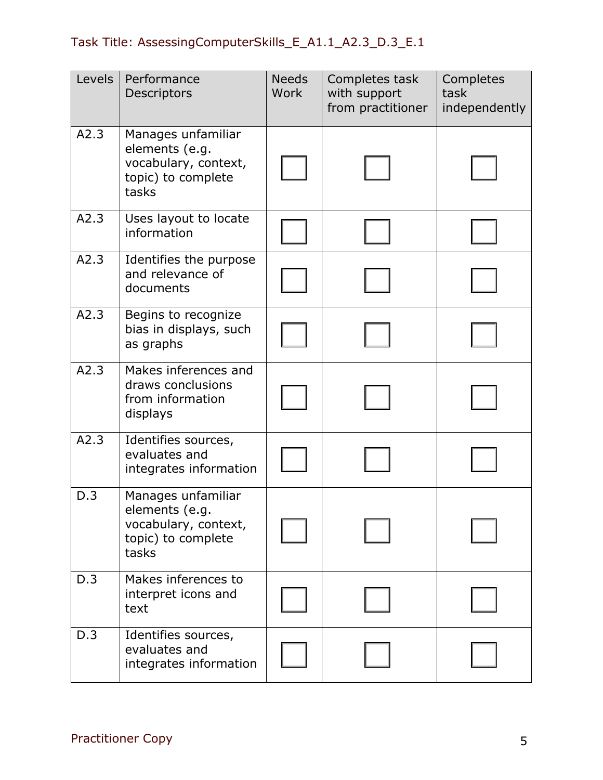# Task Title: AssessingComputerSkills\_E\_A1.1\_A2.3\_D.3\_E.1

| Levels | Performance<br>Descriptors                                                                  | <b>Needs</b><br><b>Work</b> | Completes task<br>with support<br>from practitioner | Completes<br>task<br>independently |
|--------|---------------------------------------------------------------------------------------------|-----------------------------|-----------------------------------------------------|------------------------------------|
| A2.3   | Manages unfamiliar<br>elements (e.g.<br>vocabulary, context,<br>topic) to complete<br>tasks |                             |                                                     |                                    |
| A2.3   | Uses layout to locate<br>information                                                        |                             |                                                     |                                    |
| A2.3   | Identifies the purpose<br>and relevance of<br>documents                                     |                             |                                                     |                                    |
| A2.3   | Begins to recognize<br>bias in displays, such<br>as graphs                                  |                             |                                                     |                                    |
| A2.3   | Makes inferences and<br>draws conclusions<br>from information<br>displays                   |                             |                                                     |                                    |
| A2.3   | Identifies sources,<br>evaluates and<br>integrates information                              |                             |                                                     |                                    |
| D.3    | Manages unfamiliar<br>elements (e.g.<br>vocabulary, context,<br>topic) to complete<br>tasks |                             |                                                     |                                    |
| D.3    | Makes inferences to<br>interpret icons and<br>text                                          |                             |                                                     |                                    |
| D.3    | Identifies sources,<br>evaluates and<br>integrates information                              |                             |                                                     |                                    |